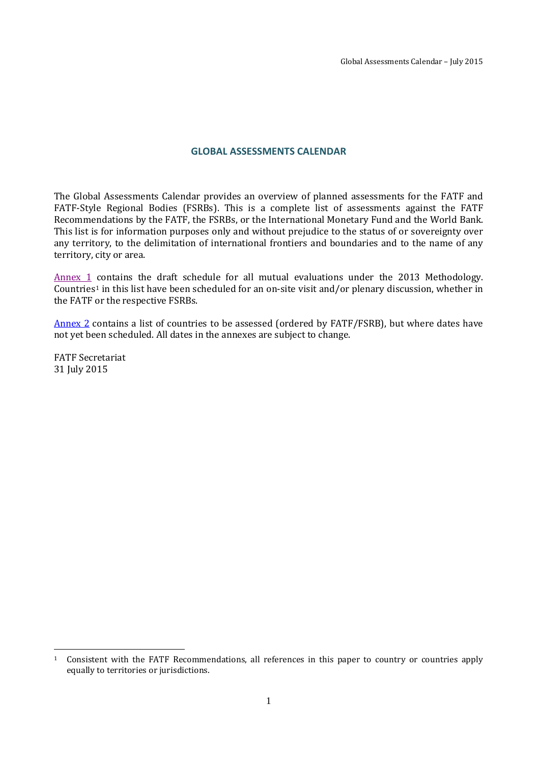#### **GLOBAL ASSESSMENTS CALENDAR**

The Global Assessments Calendar provides an overview of planned assessments for the FATF and FATF-Style Regional Bodies (FSRBs). This is a complete list of assessments against the FATF Recommendations by the FATF, the FSRBs, or the International Monetary Fund and the World Bank. This list is for information purposes only and without prejudice to the status of or sovereignty over any territory, to the delimitation of international frontiers and boundaries and to the name of any territory, city or area.

[Annex 1](#page-1-0) contains the draft schedule for all mutual evaluations under the 2013 Methodology. Countries[1](#page-0-0) in this list have been scheduled for an on-site visit and/or plenary discussion, whether in the FATF or the respective FSRBs.

[Annex 2](#page-6-0) contains a list of countries to be assessed (ordered by FATF/FSRB), but where dates have not yet been scheduled. All dates in the annexes are subject to change.

FATF Secretariat 31 July 2015

 $\overline{a}$ 

<span id="page-0-0"></span><sup>1</sup> Consistent with the FATF Recommendations, all references in this paper to country or countries apply equally to territories or jurisdictions.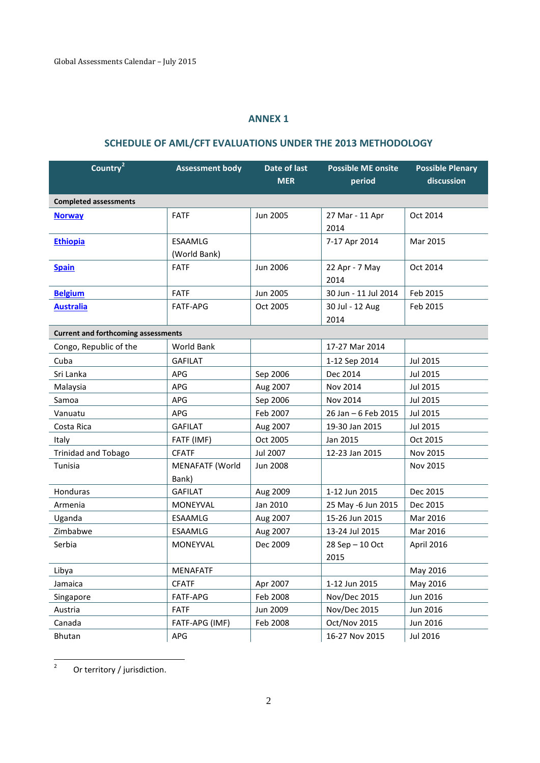## **ANNEX 1**

# **SCHEDULE OF AML/CFT EVALUATIONS UNDER THE 2013 METHODOLOGY**

<span id="page-1-0"></span>

| Country <sup>2</sup>                       | <b>Assessment body</b>          | Date of last<br><b>MER</b> | <b>Possible ME onsite</b><br>period | <b>Possible Plenary</b><br>discussion |
|--------------------------------------------|---------------------------------|----------------------------|-------------------------------------|---------------------------------------|
| <b>Completed assessments</b>               |                                 |                            |                                     |                                       |
| <b>Norway</b>                              | <b>FATF</b>                     | Jun 2005                   | 27 Mar - 11 Apr<br>2014             | Oct 2014                              |
| <b>Ethiopia</b>                            | <b>ESAAMLG</b><br>(World Bank)  |                            | 7-17 Apr 2014                       | Mar 2015                              |
| <b>Spain</b>                               | <b>FATF</b>                     | Jun 2006                   | 22 Apr - 7 May<br>2014              | Oct 2014                              |
| <b>Belgium</b>                             | <b>FATF</b>                     | Jun 2005                   | 30 Jun - 11 Jul 2014                | Feb 2015                              |
| <b>Australia</b>                           | <b>FATF-APG</b>                 | Oct 2005                   | 30 Jul - 12 Aug<br>2014             | Feb 2015                              |
| <b>Current and forthcoming assessments</b> |                                 |                            |                                     |                                       |
| Congo, Republic of the                     | World Bank                      |                            | 17-27 Mar 2014                      |                                       |
| Cuba                                       | <b>GAFILAT</b>                  |                            | 1-12 Sep 2014                       | Jul 2015                              |
| Sri Lanka                                  | APG                             | Sep 2006                   | Dec 2014                            | Jul 2015                              |
| Malaysia                                   | APG                             | Aug 2007                   | Nov 2014                            | Jul 2015                              |
| Samoa                                      | APG                             | Sep 2006                   | Nov 2014                            | Jul 2015                              |
| Vanuatu                                    | APG                             | Feb 2007                   | 26 Jan - 6 Feb 2015                 | Jul 2015                              |
| Costa Rica                                 | <b>GAFILAT</b>                  | Aug 2007                   | 19-30 Jan 2015                      | Jul 2015                              |
| Italy                                      | FATF (IMF)                      | Oct 2005                   | Jan 2015                            | Oct 2015                              |
| <b>Trinidad and Tobago</b>                 | <b>CFATF</b>                    | Jul 2007                   | 12-23 Jan 2015                      | Nov 2015                              |
| Tunisia                                    | <b>MENAFATF (World</b><br>Bank) | <b>Jun 2008</b>            |                                     | Nov 2015                              |
| Honduras                                   | <b>GAFILAT</b>                  | Aug 2009                   | 1-12 Jun 2015                       | Dec 2015                              |
| Armenia                                    | MONEYVAL                        | Jan 2010                   | 25 May -6 Jun 2015                  | Dec 2015                              |
| Uganda                                     | ESAAMLG                         | Aug 2007                   | 15-26 Jun 2015                      | Mar 2016                              |
| Zimbabwe                                   | ESAAMLG                         | Aug 2007                   | 13-24 Jul 2015                      | Mar 2016                              |
| Serbia                                     | MONEYVAL                        | Dec 2009                   | 28 Sep - 10 Oct<br>2015             | April 2016                            |
| Libya                                      | <b>MENAFATF</b>                 |                            |                                     | May 2016                              |
| Jamaica                                    | <b>CFATF</b>                    | Apr 2007                   | 1-12 Jun 2015                       | May 2016                              |
| Singapore                                  | FATF-APG                        | Feb 2008                   | Nov/Dec 2015                        | Jun 2016                              |
| Austria                                    | <b>FATF</b>                     | Jun 2009                   | Nov/Dec 2015                        | Jun 2016                              |
| Canada                                     | FATF-APG (IMF)                  | Feb 2008                   | Oct/Nov 2015                        | Jun 2016                              |
| Bhutan                                     | APG                             |                            | 16-27 Nov 2015                      | Jul 2016                              |

<span id="page-1-1"></span><sup>2</sup> Or territory / jurisdiction.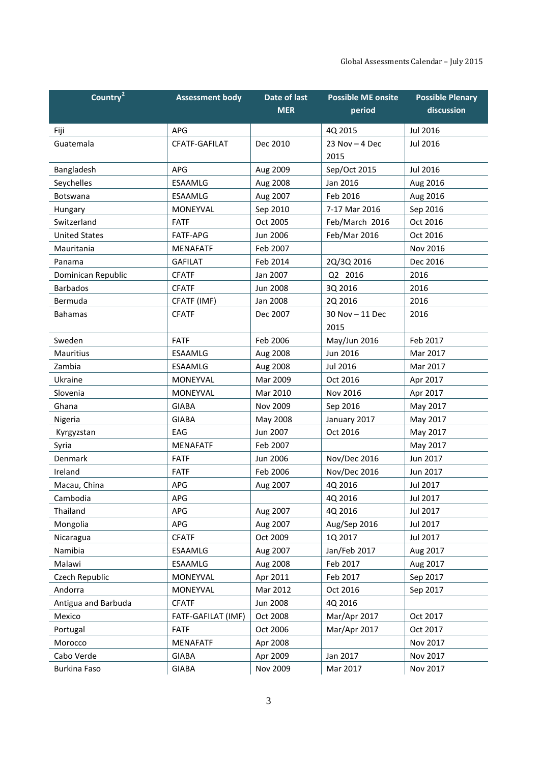| Country <sup>2</sup> | <b>Assessment body</b> | Date of last    | <b>Possible ME onsite</b> | <b>Possible Plenary</b> |
|----------------------|------------------------|-----------------|---------------------------|-------------------------|
|                      |                        | <b>MER</b>      | period                    | discussion              |
| Fiji                 | <b>APG</b>             |                 | 4Q 2015                   | <b>Jul 2016</b>         |
| Guatemala            | CFATF-GAFILAT          | Dec 2010        | 23 Nov $-$ 4 Dec          | Jul 2016                |
|                      |                        |                 | 2015                      |                         |
| Bangladesh           | APG                    | Aug 2009        | Sep/Oct 2015              | Jul 2016                |
| Seychelles           | <b>ESAAMLG</b>         | Aug 2008        | Jan 2016                  | Aug 2016                |
| <b>Botswana</b>      | <b>ESAAMLG</b>         | Aug 2007        | Feb 2016                  | Aug 2016                |
| Hungary              | <b>MONEYVAL</b>        | Sep 2010        | 7-17 Mar 2016             | Sep 2016                |
| Switzerland          | <b>FATF</b>            | Oct 2005        | Feb/March 2016            | Oct 2016                |
| <b>United States</b> | <b>FATF-APG</b>        | Jun 2006        | Feb/Mar 2016              | Oct 2016                |
| Mauritania           | <b>MENAFATF</b>        | Feb 2007        |                           | Nov 2016                |
| Panama               | <b>GAFILAT</b>         | Feb 2014        | 2Q/3Q 2016                | Dec 2016                |
| Dominican Republic   | <b>CFATF</b>           | Jan 2007        | Q2 2016                   | 2016                    |
| <b>Barbados</b>      | <b>CFATF</b>           | <b>Jun 2008</b> | 3Q 2016                   | 2016                    |
| Bermuda              | CFATF (IMF)            | Jan 2008        | 2Q 2016                   | 2016                    |
| <b>Bahamas</b>       | <b>CFATF</b>           | Dec 2007        | 30 Nov - 11 Dec           | 2016                    |
|                      |                        |                 | 2015                      |                         |
| Sweden               | <b>FATF</b>            | Feb 2006        | May/Jun 2016              | Feb 2017                |
| <b>Mauritius</b>     | <b>ESAAMLG</b>         | Aug 2008        | Jun 2016                  | Mar 2017                |
| Zambia               | <b>ESAAMLG</b>         | Aug 2008        | Jul 2016                  | Mar 2017                |
| Ukraine              | <b>MONEYVAL</b>        | Mar 2009        | Oct 2016                  | Apr 2017                |
| Slovenia             | <b>MONEYVAL</b>        | Mar 2010        | Nov 2016                  | Apr 2017                |
| Ghana                | <b>GIABA</b>           | Nov 2009        | Sep 2016                  | May 2017                |
| Nigeria              | <b>GIABA</b>           | May 2008        | January 2017              | May 2017                |
| Kyrgyzstan           | EAG                    | Jun 2007        | Oct 2016                  | May 2017                |
| Syria                | <b>MENAFATF</b>        | Feb 2007        |                           | May 2017                |
| Denmark              | <b>FATF</b>            | Jun 2006        | Nov/Dec 2016              | Jun 2017                |
| Ireland              | <b>FATF</b>            | Feb 2006        | Nov/Dec 2016              | Jun 2017                |
| Macau, China         | APG                    | Aug 2007        | 4Q 2016                   | Jul 2017                |
| Cambodia             | <b>APG</b>             |                 | 4Q 2016                   | Jul 2017                |
| Thailand             | APG                    | Aug 2007        | 4Q 2016                   | Jul 2017                |
| Mongolia             | APG                    | Aug 2007        | Aug/Sep 2016              | Jul 2017                |
| Nicaragua            | <b>CFATF</b>           | Oct 2009        | 1Q 2017                   | Jul 2017                |
| Namibia              | ESAAMLG                | Aug 2007        | Jan/Feb 2017              | Aug 2017                |
| Malawi               | ESAAMLG                | Aug 2008        | Feb 2017                  | Aug 2017                |
| Czech Republic       | MONEYVAL               | Apr 2011        | Feb 2017                  | Sep 2017                |
| Andorra              | MONEYVAL               | Mar 2012        | Oct 2016                  | Sep 2017                |
| Antigua and Barbuda  | <b>CFATF</b>           | <b>Jun 2008</b> | 4Q 2016                   |                         |
| Mexico               | FATF-GAFILAT (IMF)     | Oct 2008        | Mar/Apr 2017              | Oct 2017                |
| Portugal             | <b>FATF</b>            | Oct 2006        | Mar/Apr 2017              | Oct 2017                |
| Morocco              | <b>MENAFATF</b>        | Apr 2008        |                           | Nov 2017                |
| Cabo Verde           | <b>GIABA</b>           | Apr 2009        | Jan 2017                  | Nov 2017                |
| <b>Burkina Faso</b>  | <b>GIABA</b>           | Nov 2009        | Mar 2017                  | Nov 2017                |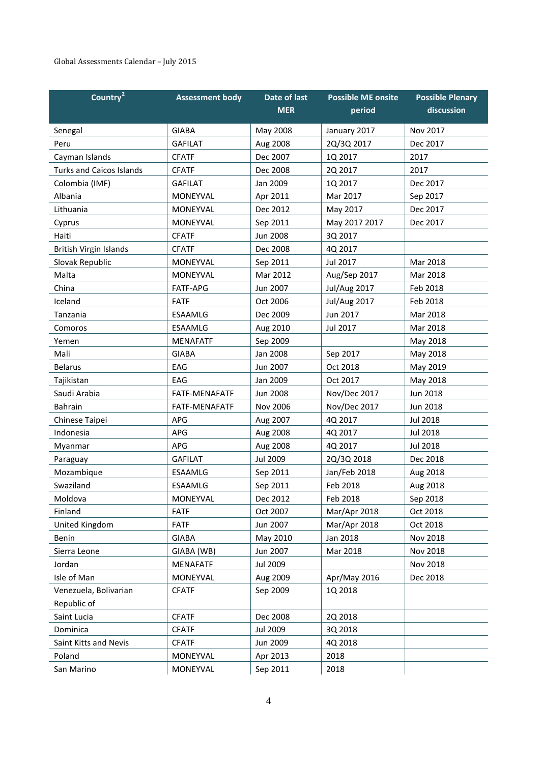#### Global Assessments Calendar – July 2015

| Country <sup>2</sup>            | <b>Assessment body</b> | Date of last    | <b>Possible ME onsite</b> | <b>Possible Plenary</b> |
|---------------------------------|------------------------|-----------------|---------------------------|-------------------------|
|                                 |                        | <b>MER</b>      | period                    | discussion              |
| Senegal                         | <b>GIABA</b>           | May 2008        | January 2017              | Nov 2017                |
| Peru                            | <b>GAFILAT</b>         | Aug 2008        | 2Q/3Q 2017                | Dec 2017                |
| Cayman Islands                  | <b>CFATF</b>           | Dec 2007        | 1Q 2017                   | 2017                    |
| <b>Turks and Caicos Islands</b> | <b>CFATF</b>           | Dec 2008        | 2Q 2017                   | 2017                    |
| Colombia (IMF)                  | <b>GAFILAT</b>         | Jan 2009        | 1Q 2017                   | Dec 2017                |
| Albania                         | MONEYVAL               | Apr 2011        | Mar 2017                  | Sep 2017                |
| Lithuania                       | MONEYVAL               | Dec 2012        | May 2017                  | Dec 2017                |
| Cyprus                          | MONEYVAL               | Sep 2011        | May 2017 2017             | Dec 2017                |
| Haiti                           | <b>CFATF</b>           | <b>Jun 2008</b> | 3Q 2017                   |                         |
| British Virgin Islands          | <b>CFATF</b>           | Dec 2008        | 4Q 2017                   |                         |
| Slovak Republic                 | MONEYVAL               | Sep 2011        | Jul 2017                  | Mar 2018                |
| Malta                           | MONEYVAL               | Mar 2012        | Aug/Sep 2017              | Mar 2018                |
| China                           | <b>FATF-APG</b>        | Jun 2007        | <b>Jul/Aug 2017</b>       | Feb 2018                |
| Iceland                         | <b>FATF</b>            | Oct 2006        | <b>Jul/Aug 2017</b>       | Feb 2018                |
| Tanzania                        | <b>ESAAMLG</b>         | Dec 2009        | Jun 2017                  | Mar 2018                |
| Comoros                         | <b>ESAAMLG</b>         | Aug 2010        | Jul 2017                  | Mar 2018                |
| Yemen                           | <b>MENAFATF</b>        | Sep 2009        |                           | May 2018                |
| Mali                            | <b>GIABA</b>           | <b>Jan 2008</b> | Sep 2017                  | May 2018                |
| <b>Belarus</b>                  | EAG                    | Jun 2007        | Oct 2018                  | May 2019                |
| Tajikistan                      | EAG                    | Jan 2009        | Oct 2017                  | May 2018                |
| Saudi Arabia                    | FATF-MENAFATF          | <b>Jun 2008</b> | Nov/Dec 2017              | Jun 2018                |
| <b>Bahrain</b>                  | <b>FATF-MENAFATF</b>   | <b>Nov 2006</b> | Nov/Dec 2017              | Jun 2018                |
| Chinese Taipei                  | APG                    | Aug 2007        | 4Q 2017                   | Jul 2018                |
| Indonesia                       | APG                    | Aug 2008        | 4Q 2017                   | <b>Jul 2018</b>         |
| Myanmar                         | APG                    | Aug 2008        | 4Q 2017                   | Jul 2018                |
| Paraguay                        | <b>GAFILAT</b>         | <b>Jul 2009</b> | 2Q/3Q 2018                | Dec 2018                |
| Mozambique                      | <b>ESAAMLG</b>         | Sep 2011        | Jan/Feb 2018              | Aug 2018                |
| Swaziland                       | <b>ESAAMLG</b>         | Sep 2011        | Feb 2018                  | Aug 2018                |
| Moldova                         | MONEYVAL               | Dec 2012        | Feb 2018                  | Sep 2018                |
| Finland                         | <b>FATF</b>            | Oct 2007        | Mar/Apr 2018              | Oct 2018                |
| United Kingdom                  | <b>FATF</b>            | Jun 2007        | Mar/Apr 2018              | Oct 2018                |
| Benin                           | <b>GIABA</b>           | May 2010        | Jan 2018                  | Nov 2018                |
| Sierra Leone                    | GIABA (WB)             | Jun 2007        | Mar 2018                  | Nov 2018                |
| Jordan                          | <b>MENAFATF</b>        | <b>Jul 2009</b> |                           | Nov 2018                |
| Isle of Man                     | MONEYVAL               | Aug 2009        | Apr/May 2016              | Dec 2018                |
| Venezuela, Bolivarian           | <b>CFATF</b>           | Sep 2009        | 1Q 2018                   |                         |
| Republic of                     |                        |                 |                           |                         |
| Saint Lucia                     | <b>CFATF</b>           | Dec 2008        | 2Q 2018                   |                         |
| Dominica                        | <b>CFATF</b>           | Jul 2009        | 3Q 2018                   |                         |
| Saint Kitts and Nevis           | <b>CFATF</b>           | Jun 2009        | 4Q 2018                   |                         |
| Poland                          | MONEYVAL               | Apr 2013        | 2018                      |                         |
| San Marino                      | MONEYVAL               | Sep 2011        | 2018                      |                         |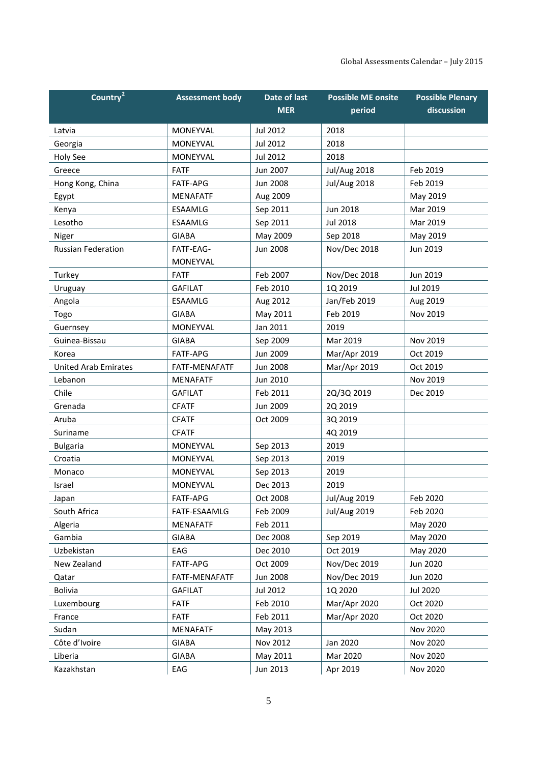| Country <sup>2</sup>        | <b>Assessment body</b> | Date of last<br><b>MER</b> | <b>Possible ME onsite</b><br>period | <b>Possible Plenary</b><br>discussion |
|-----------------------------|------------------------|----------------------------|-------------------------------------|---------------------------------------|
| Latvia                      | <b>MONEYVAL</b>        | Jul 2012                   | 2018                                |                                       |
| Georgia                     | <b>MONEYVAL</b>        | <b>Jul 2012</b>            | 2018                                |                                       |
| Holy See                    | <b>MONEYVAL</b>        | Jul 2012                   | 2018                                |                                       |
| Greece                      | <b>FATF</b>            | Jun 2007                   | <b>Jul/Aug 2018</b>                 | Feb 2019                              |
| Hong Kong, China            | <b>FATF-APG</b>        | Jun 2008                   | <b>Jul/Aug 2018</b>                 | Feb 2019                              |
| Egypt                       | <b>MENAFATF</b>        | Aug 2009                   |                                     | May 2019                              |
| Kenya                       | <b>ESAAMLG</b>         | Sep 2011                   | Jun 2018                            | Mar 2019                              |
| Lesotho                     | <b>ESAAMLG</b>         | Sep 2011                   | <b>Jul 2018</b>                     | Mar 2019                              |
| Niger                       | <b>GIABA</b>           | May 2009                   | Sep 2018                            | May 2019                              |
| <b>Russian Federation</b>   | FATF-EAG-              | Jun 2008                   | Nov/Dec 2018                        | Jun 2019                              |
|                             | MONEYVAL               |                            |                                     |                                       |
| Turkey                      | <b>FATF</b>            | Feb 2007                   | Nov/Dec 2018                        | Jun 2019                              |
| Uruguay                     | <b>GAFILAT</b>         | Feb 2010                   | 1Q 2019                             | Jul 2019                              |
| Angola                      | <b>ESAAMLG</b>         | Aug 2012                   | Jan/Feb 2019                        | Aug 2019                              |
| Togo                        | <b>GIABA</b>           | May 2011                   | Feb 2019                            | Nov 2019                              |
| Guernsey                    | <b>MONEYVAL</b>        | Jan 2011                   | 2019                                |                                       |
| Guinea-Bissau               | <b>GIABA</b>           | Sep 2009                   | Mar 2019                            | Nov 2019                              |
| Korea                       | <b>FATF-APG</b>        | Jun 2009                   | Mar/Apr 2019                        | Oct 2019                              |
| <b>United Arab Emirates</b> | FATF-MENAFATF          | <b>Jun 2008</b>            | Mar/Apr 2019                        | Oct 2019                              |
| Lebanon                     | <b>MENAFATF</b>        | Jun 2010                   |                                     | Nov 2019                              |
| Chile                       | <b>GAFILAT</b>         | Feb 2011                   | 2Q/3Q 2019                          | Dec 2019                              |
| Grenada                     | <b>CFATF</b>           | Jun 2009                   | 2Q 2019                             |                                       |
| Aruba                       | <b>CFATF</b>           | Oct 2009                   | 3Q 2019                             |                                       |
| Suriname                    | <b>CFATF</b>           |                            | 4Q 2019                             |                                       |
| <b>Bulgaria</b>             | MONEYVAL               | Sep 2013                   | 2019                                |                                       |
| Croatia                     | MONEYVAL               | Sep 2013                   | 2019                                |                                       |
| Monaco                      | MONEYVAL               | Sep 2013                   | 2019                                |                                       |
| Israel                      | <b>MONEYVAL</b>        | Dec 2013                   | 2019                                |                                       |
| Japan                       | FATF-APG               | Oct 2008                   | <b>Jul/Aug 2019</b>                 | Feb 2020                              |
| South Africa                | FATF-ESAAMLG           | Feb 2009                   | <b>Jul/Aug 2019</b>                 | Feb 2020                              |
| Algeria                     | <b>MENAFATF</b>        | Feb 2011                   |                                     | May 2020                              |
| Gambia                      | <b>GIABA</b>           | Dec 2008                   | Sep 2019                            | May 2020                              |
| Uzbekistan                  | EAG                    | Dec 2010                   | Oct 2019                            | May 2020                              |
| New Zealand                 | FATF-APG               | Oct 2009                   | Nov/Dec 2019                        | Jun 2020                              |
| Qatar                       | FATF-MENAFATF          | <b>Jun 2008</b>            | Nov/Dec 2019                        | Jun 2020                              |
| <b>Bolivia</b>              | <b>GAFILAT</b>         | Jul 2012                   | 1Q 2020                             | Jul 2020                              |
| Luxembourg                  | <b>FATF</b>            | Feb 2010                   | Mar/Apr 2020                        | Oct 2020                              |
| France                      | <b>FATF</b>            | Feb 2011                   | Mar/Apr 2020                        | Oct 2020                              |
| Sudan                       | <b>MENAFATF</b>        | May 2013                   |                                     | Nov 2020                              |
| Côte d'Ivoire               | <b>GIABA</b>           | Nov 2012                   | Jan 2020                            | Nov 2020                              |
| Liberia                     | <b>GIABA</b>           | May 2011                   | Mar 2020                            | Nov 2020                              |
| Kazakhstan                  | EAG                    | Jun 2013                   | Apr 2019                            | Nov 2020                              |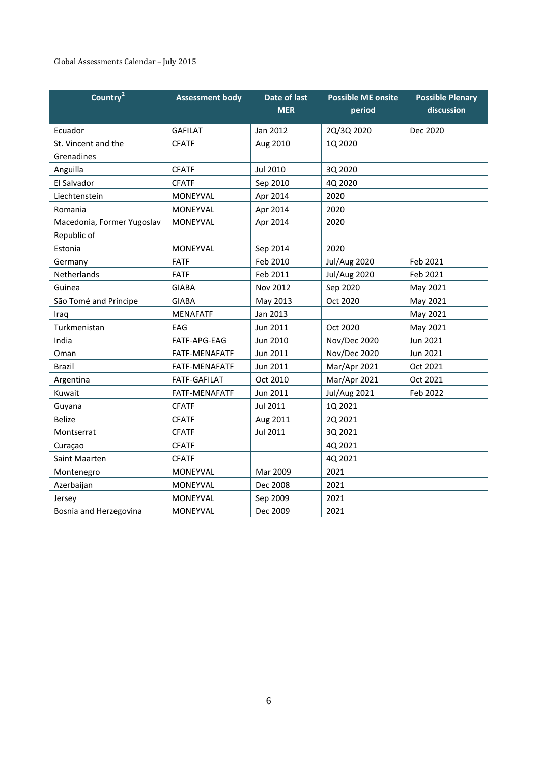#### Global Assessments Calendar – July 2015

| Country <sup>2</sup>       | <b>Assessment body</b> | Date of last<br><b>MER</b> | <b>Possible ME onsite</b> | <b>Possible Plenary</b><br>discussion |
|----------------------------|------------------------|----------------------------|---------------------------|---------------------------------------|
|                            |                        |                            | period                    |                                       |
| Ecuador                    | <b>GAFILAT</b>         | Jan 2012                   | 2Q/3Q 2020                | Dec 2020                              |
| St. Vincent and the        | <b>CFATF</b>           | Aug 2010                   | 1Q 2020                   |                                       |
| Grenadines                 |                        |                            |                           |                                       |
| Anguilla                   | <b>CFATF</b>           | Jul 2010                   | 3Q 2020                   |                                       |
| El Salvador                | <b>CFATF</b>           | Sep 2010                   | 4Q 2020                   |                                       |
| Liechtenstein              | <b>MONEYVAL</b>        | Apr 2014                   | 2020                      |                                       |
| Romania                    | MONEYVAL               | Apr 2014                   | 2020                      |                                       |
| Macedonia, Former Yugoslav | MONEYVAL               | Apr 2014                   | 2020                      |                                       |
| Republic of                |                        |                            |                           |                                       |
| Estonia                    | MONEYVAL               | Sep 2014                   | 2020                      |                                       |
| Germany                    | <b>FATF</b>            | Feb 2010                   | <b>Jul/Aug 2020</b>       | Feb 2021                              |
| Netherlands                | <b>FATF</b>            | Feb 2011                   | <b>Jul/Aug 2020</b>       | Feb 2021                              |
| Guinea                     | <b>GIABA</b>           | Nov 2012                   | Sep 2020                  | May 2021                              |
| São Tomé and Príncipe      | <b>GIABA</b>           | May 2013                   | Oct 2020                  | May 2021                              |
| Iraq                       | <b>MENAFATF</b>        | Jan 2013                   |                           | May 2021                              |
| Turkmenistan               | EAG                    | Jun 2011                   | Oct 2020                  | May 2021                              |
| India                      | FATF-APG-EAG           | Jun 2010                   | Nov/Dec 2020              | Jun 2021                              |
| Oman                       | FATF-MENAFATF          | Jun 2011                   | Nov/Dec 2020              | Jun 2021                              |
| Brazil                     | FATF-MENAFATF          | Jun 2011                   | Mar/Apr 2021              | Oct 2021                              |
| Argentina                  | <b>FATF-GAFILAT</b>    | Oct 2010                   | Mar/Apr 2021              | Oct 2021                              |
| Kuwait                     | FATF-MENAFATF          | Jun 2011                   | <b>Jul/Aug 2021</b>       | Feb 2022                              |
| Guyana                     | <b>CFATF</b>           | Jul 2011                   | 1Q 2021                   |                                       |
| <b>Belize</b>              | <b>CFATF</b>           | Aug 2011                   | 2Q 2021                   |                                       |
| Montserrat                 | <b>CFATF</b>           | Jul 2011                   | 3Q 2021                   |                                       |
| Curaçao                    | <b>CFATF</b>           |                            | 4Q 2021                   |                                       |
| Saint Maarten              | <b>CFATF</b>           |                            | 4Q 2021                   |                                       |
| Montenegro                 | MONEYVAL               | Mar 2009                   | 2021                      |                                       |
| Azerbaijan                 | MONEYVAL               | Dec 2008                   | 2021                      |                                       |
| Jersey                     | <b>MONEYVAL</b>        | Sep 2009                   | 2021                      |                                       |
| Bosnia and Herzegovina     | <b>MONEYVAL</b>        | Dec 2009                   | 2021                      |                                       |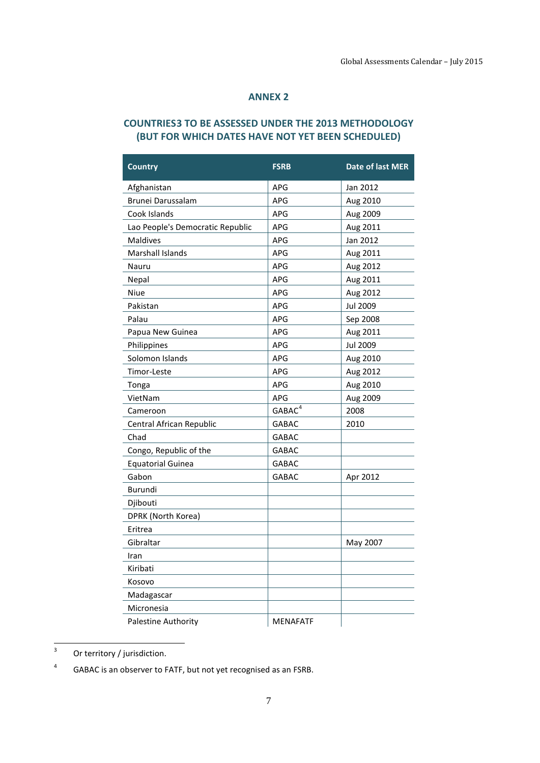#### **ANNEX 2**

### <span id="page-6-0"></span>**COUNTRIES[3](#page-6-1) TO BE ASSESSED UNDER THE 2013 METHODOLOGY (BUT FOR WHICH DATES HAVE NOT YET BEEN SCHEDULED)**

| <b>Country</b>                   | <b>FSRB</b>        | Date of last MER |
|----------------------------------|--------------------|------------------|
| Afghanistan                      | APG                | Jan 2012         |
| Brunei Darussalam                | <b>APG</b>         | Aug 2010         |
| Cook Islands                     | <b>APG</b>         | Aug 2009         |
| Lao People's Democratic Republic | APG                | Aug 2011         |
| <b>Maldives</b>                  | <b>APG</b>         | Jan 2012         |
| Marshall Islands                 | <b>APG</b>         | Aug 2011         |
| Nauru                            | APG                | Aug 2012         |
| Nepal                            | APG                | Aug 2011         |
| Niue                             | APG                | Aug 2012         |
| Pakistan                         | <b>APG</b>         | <b>Jul 2009</b>  |
| Palau                            | <b>APG</b>         | Sep 2008         |
| Papua New Guinea                 | APG                | Aug 2011         |
| Philippines                      | APG                | <b>Jul 2009</b>  |
| Solomon Islands                  | <b>APG</b>         | Aug 2010         |
| Timor-Leste                      | APG                | Aug 2012         |
| Tonga                            | APG                | Aug 2010         |
| VietNam                          | <b>APG</b>         | Aug 2009         |
| Cameroon                         | GABAC <sup>4</sup> | 2008             |
| Central African Republic         | <b>GABAC</b>       | 2010             |
| Chad                             | <b>GABAC</b>       |                  |
| Congo, Republic of the           | <b>GABAC</b>       |                  |
| <b>Equatorial Guinea</b>         | <b>GABAC</b>       |                  |
| Gabon                            | GABAC              | Apr 2012         |
| Burundi                          |                    |                  |
| Djibouti                         |                    |                  |
| DPRK (North Korea)               |                    |                  |
| Eritrea                          |                    |                  |
| Gibraltar                        |                    | May 2007         |
| Iran                             |                    |                  |
| Kiribati                         |                    |                  |
| Kosovo                           |                    |                  |
| Madagascar                       |                    |                  |
| Micronesia                       |                    |                  |
| Palestine Authority              | <b>MENAFATF</b>    |                  |

<span id="page-6-1"></span> $3$  Or territory / jurisdiction.

<span id="page-6-2"></span><sup>4</sup> GABAC is an observer to FATF, but not yet recognised as an FSRB.